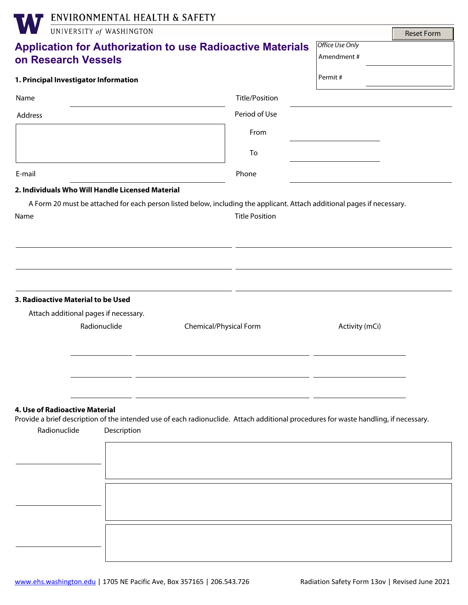|                                                                             | ENVIRONMENTAL HEALTH & SAFETY |                                                                                                                                      |                       |                               |                   |
|-----------------------------------------------------------------------------|-------------------------------|--------------------------------------------------------------------------------------------------------------------------------------|-----------------------|-------------------------------|-------------------|
|                                                                             | UNIVERSITY of WASHINGTON      |                                                                                                                                      |                       |                               | <b>Reset Form</b> |
| on Research Vessels                                                         |                               | <b>Application for Authorization to use Radioactive Materials</b>                                                                    |                       | Office Use Only<br>Amendment# |                   |
| 1. Principal Investigator Information                                       |                               |                                                                                                                                      |                       | Permit#                       |                   |
| Name                                                                        |                               |                                                                                                                                      | Title/Position        |                               |                   |
| Address                                                                     |                               |                                                                                                                                      | Period of Use         |                               |                   |
|                                                                             |                               |                                                                                                                                      | From                  |                               |                   |
|                                                                             |                               |                                                                                                                                      | To                    |                               |                   |
| E-mail                                                                      |                               |                                                                                                                                      | Phone                 |                               |                   |
| 2. Individuals Who Will Handle Licensed Material                            |                               |                                                                                                                                      |                       |                               |                   |
| Name                                                                        |                               |                                                                                                                                      | <b>Title Position</b> |                               |                   |
| 3. Radioactive Material to be Used<br>Attach additional pages if necessary. | Radionuclide                  | Chemical/Physical Form                                                                                                               |                       | Activity (mCi)                |                   |
| 4. Use of Radioactive Material<br>Radionuclide                              | Description                   | Provide a brief description of the intended use of each radionuclide. Attach additional procedures for waste handling, if necessary. |                       |                               |                   |
|                                                                             |                               |                                                                                                                                      |                       |                               |                   |